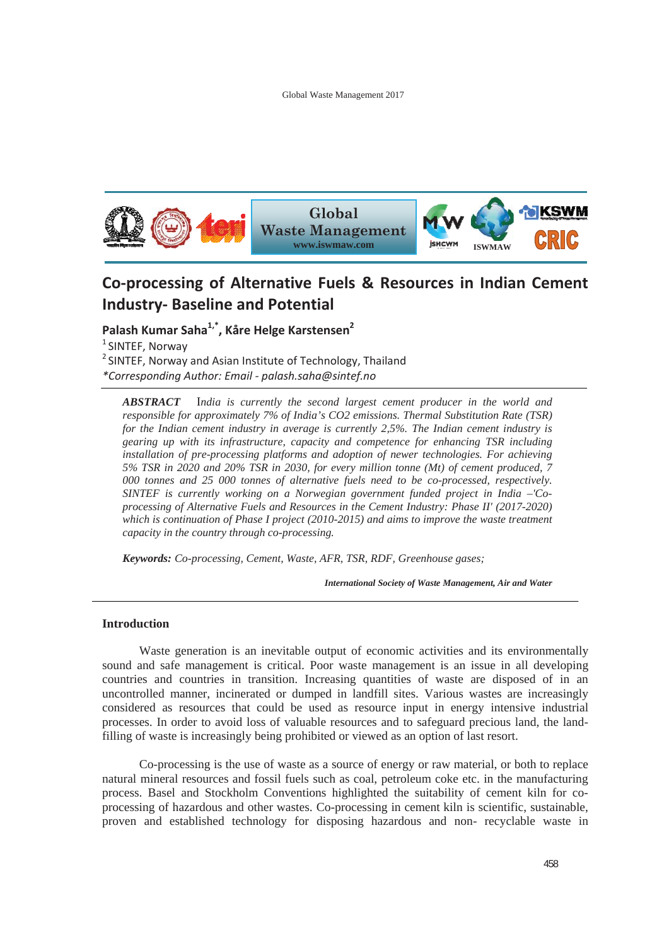

# **CoͲprocessing of Alternative Fuels & Resources in Indian Cement Industry- Baseline and Potential**

**Palash Kumar Saha1,\*, Kåre Helge Karstensen2** <sup>1</sup> SINTEF, Norway  $2$  SINTEF, Norway and Asian Institute of Technology, Thailand *\*Corresponding Author: EmailͲpalash.saha@sintef.no*

*ABSTRACT* I*ndia is currently the second largest cement producer in the world and responsible for approximately 7% of India's CO2 emissions. Thermal Substitution Rate (TSR) for the Indian cement industry in average is currently 2,5%. The Indian cement industry is gearing up with its infrastructure, capacity and competence for enhancing TSR including installation of pre-processing platforms and adoption of newer technologies. For achieving 5% TSR in 2020 and 20% TSR in 2030, for every million tonne (Mt) of cement produced, 7 000 tonnes and 25 000 tonnes of alternative fuels need to be co-processed, respectively. SINTEF is currently working on a Norwegian government funded project in India –'Coprocessing of Alternative Fuels and Resources in the Cement Industry: Phase II' (2017-2020) which is continuation of Phase I project (2010-2015) and aims to improve the waste treatment capacity in the country through co-processing.* 

*Keywords: Co-processing, Cement, Waste, AFR, TSR, RDF, Greenhouse gases;* 

*International Society of Waste Management, Air and Water*

## **Introduction**

 Waste generation is an inevitable output of economic activities and its environmentally sound and safe management is critical. Poor waste management is an issue in all developing countries and countries in transition. Increasing quantities of waste are disposed of in an uncontrolled manner, incinerated or dumped in landfill sites. Various wastes are increasingly considered as resources that could be used as resource input in energy intensive industrial processes. In order to avoid loss of valuable resources and to safeguard precious land, the landfilling of waste is increasingly being prohibited or viewed as an option of last resort.

 Co-processing is the use of waste as a source of energy or raw material, or both to replace natural mineral resources and fossil fuels such as coal, petroleum coke etc. in the manufacturing process. Basel and Stockholm Conventions highlighted the suitability of cement kiln for coprocessing of hazardous and other wastes. Co-processing in cement kiln is scientific, sustainable, proven and established technology for disposing hazardous and non- recyclable waste in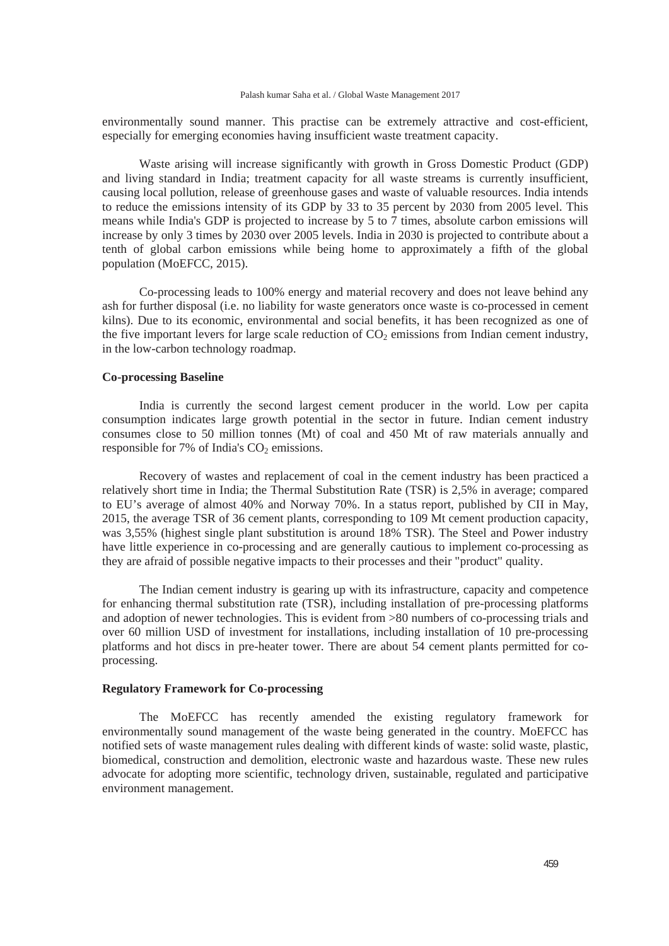#### Palash kumar Saha et al. / Global Waste Management 2017

environmentally sound manner. This practise can be extremely attractive and cost-efficient, especially for emerging economies having insufficient waste treatment capacity.

 Waste arising will increase significantly with growth in Gross Domestic Product (GDP) and living standard in India; treatment capacity for all waste streams is currently insufficient, causing local pollution, release of greenhouse gases and waste of valuable resources. India intends to reduce the emissions intensity of its GDP by 33 to 35 percent by 2030 from 2005 level. This means while India's GDP is projected to increase by 5 to 7 times, absolute carbon emissions will increase by only 3 times by 2030 over 2005 levels. India in 2030 is projected to contribute about a tenth of global carbon emissions while being home to approximately a fifth of the global population (MoEFCC, 2015).

 Co-processing leads to 100% energy and material recovery and does not leave behind any ash for further disposal (i.e. no liability for waste generators once waste is co-processed in cement kilns). Due to its economic, environmental and social benefits, it has been recognized as one of the five important levers for large scale reduction of  $CO<sub>2</sub>$  emissions from Indian cement industry, in the low-carbon technology roadmap.

# **Co-processing Baseline**

 India is currently the second largest cement producer in the world. Low per capita consumption indicates large growth potential in the sector in future. Indian cement industry consumes close to 50 million tonnes (Mt) of coal and 450 Mt of raw materials annually and responsible for 7% of India's  $CO<sub>2</sub>$  emissions.

 Recovery of wastes and replacement of coal in the cement industry has been practiced a relatively short time in India; the Thermal Substitution Rate (TSR) is 2,5% in average; compared to EU's average of almost 40% and Norway 70%. In a status report, published by CII in May, 2015, the average TSR of 36 cement plants, corresponding to 109 Mt cement production capacity, was 3,55% (highest single plant substitution is around 18% TSR). The Steel and Power industry have little experience in co-processing and are generally cautious to implement co-processing as they are afraid of possible negative impacts to their processes and their "product" quality.

 The Indian cement industry is gearing up with its infrastructure, capacity and competence for enhancing thermal substitution rate (TSR), including installation of pre-processing platforms and adoption of newer technologies. This is evident from >80 numbers of co-processing trials and over 60 million USD of investment for installations, including installation of 10 pre-processing platforms and hot discs in pre-heater tower. There are about 54 cement plants permitted for coprocessing.

# **Regulatory Framework for Co-processing**

 The MoEFCC has recently amended the existing regulatory framework for environmentally sound management of the waste being generated in the country. MoEFCC has notified sets of waste management rules dealing with different kinds of waste: solid waste, plastic, biomedical, construction and demolition, electronic waste and hazardous waste. These new rules advocate for adopting more scientific, technology driven, sustainable, regulated and participative environment management.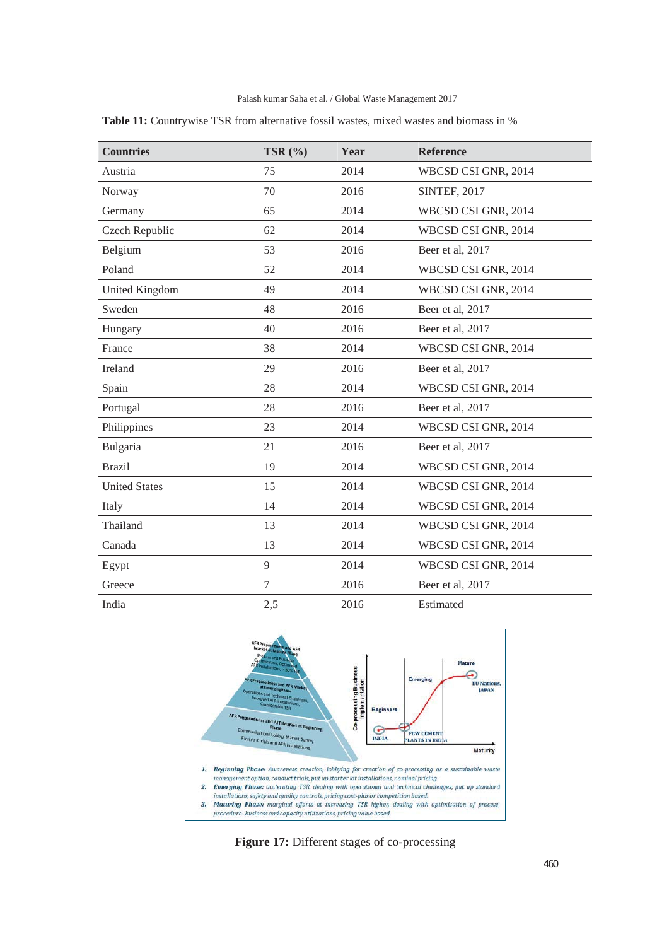## Palash kumar Saha et al. / Global Waste Management 2017

| <b>Countries</b>     | TSR $(%$ | Year | <b>Reference</b>    |
|----------------------|----------|------|---------------------|
| Austria              | 75       | 2014 | WBCSD CSI GNR, 2014 |
| Norway               | 70       | 2016 | <b>SINTEF, 2017</b> |
| Germany              | 65       | 2014 | WBCSD CSI GNR, 2014 |
| Czech Republic       | 62       | 2014 | WBCSD CSI GNR, 2014 |
| Belgium              | 53       | 2016 | Beer et al, 2017    |
| Poland               | 52       | 2014 | WBCSD CSI GNR, 2014 |
| United Kingdom       | 49       | 2014 | WBCSD CSI GNR, 2014 |
| Sweden               | 48       | 2016 | Beer et al, 2017    |
| Hungary              | 40       | 2016 | Beer et al, 2017    |
| France               | 38       | 2014 | WBCSD CSI GNR, 2014 |
| Ireland              | 29       | 2016 | Beer et al, 2017    |
| Spain                | 28       | 2014 | WBCSD CSI GNR, 2014 |
| Portugal             | 28       | 2016 | Beer et al, 2017    |
| Philippines          | 23       | 2014 | WBCSD CSI GNR, 2014 |
| Bulgaria             | 21       | 2016 | Beer et al, 2017    |
| <b>Brazil</b>        | 19       | 2014 | WBCSD CSI GNR, 2014 |
| <b>United States</b> | 15       | 2014 | WBCSD CSI GNR, 2014 |
| Italy                | 14       | 2014 | WBCSD CSI GNR, 2014 |
| Thailand             | 13       | 2014 | WBCSD CSI GNR, 2014 |
| Canada               | 13       | 2014 | WBCSD CSI GNR, 2014 |
| Egypt                | 9        | 2014 | WBCSD CSI GNR, 2014 |
| Greece               | 7        | 2016 | Beer et al, 2017    |
| India                | 2,5      | 2016 | Estimated           |

**Table 11:** Countrywise TSR from alternative fossil wastes, mixed wastes and biomass in %



**Figure 17:** Different stages of co-processing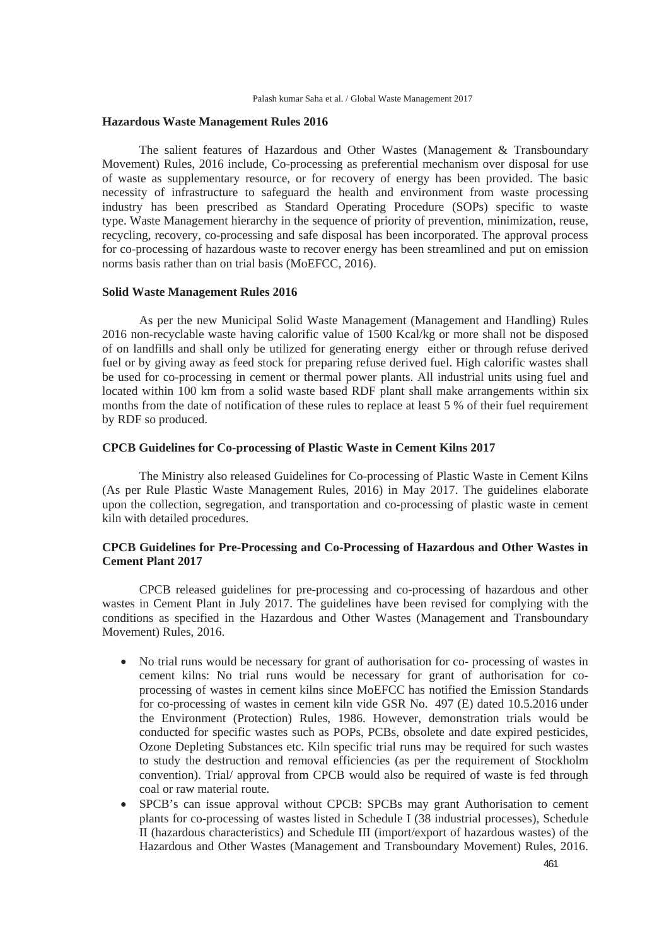## **Hazardous Waste Management Rules 2016**

 The salient features of Hazardous and Other Wastes (Management & Transboundary Movement) Rules, 2016 include, Co-processing as preferential mechanism over disposal for use of waste as supplementary resource, or for recovery of energy has been provided. The basic necessity of infrastructure to safeguard the health and environment from waste processing industry has been prescribed as Standard Operating Procedure (SOPs) specific to waste type. Waste Management hierarchy in the sequence of priority of prevention, minimization, reuse, recycling, recovery, co-processing and safe disposal has been incorporated. The approval process for co-processing of hazardous waste to recover energy has been streamlined and put on emission norms basis rather than on trial basis (MoEFCC, 2016).

## **Solid Waste Management Rules 2016**

 As per the new Municipal Solid Waste Management (Management and Handling) Rules 2016 non-recyclable waste having calorific value of 1500 Kcal/kg or more shall not be disposed of on landfills and shall only be utilized for generating energy either or through refuse derived fuel or by giving away as feed stock for preparing refuse derived fuel. High calorific wastes shall be used for co-processing in cement or thermal power plants. All industrial units using fuel and located within 100 km from a solid waste based RDF plant shall make arrangements within six months from the date of notification of these rules to replace at least 5 % of their fuel requirement by RDF so produced.

# **CPCB Guidelines for Co-processing of Plastic Waste in Cement Kilns 2017**

 The Ministry also released Guidelines for Co-processing of Plastic Waste in Cement Kilns (As per Rule Plastic Waste Management Rules, 2016) in May 2017. The guidelines elaborate upon the collection, segregation, and transportation and co-processing of plastic waste in cement kiln with detailed procedures.

# **CPCB Guidelines for Pre-Processing and Co-Processing of Hazardous and Other Wastes in Cement Plant 2017**

 CPCB released guidelines for pre-processing and co-processing of hazardous and other wastes in Cement Plant in July 2017. The guidelines have been revised for complying with the conditions as specified in the Hazardous and Other Wastes (Management and Transboundary Movement) Rules, 2016.

- No trial runs would be necessary for grant of authorisation for co- processing of wastes in cement kilns: No trial runs would be necessary for grant of authorisation for coprocessing of wastes in cement kilns since MoEFCC has notified the Emission Standards for co-processing of wastes in cement kiln vide GSR No. 497 (E) dated 10.5.2016 under the Environment (Protection) Rules, 1986. However, demonstration trials would be conducted for specific wastes such as POPs, PCBs, obsolete and date expired pesticides, Ozone Depleting Substances etc. Kiln specific trial runs may be required for such wastes to study the destruction and removal efficiencies (as per the requirement of Stockholm convention). Trial/ approval from CPCB would also be required of waste is fed through coal or raw material route.
- SPCB's can issue approval without CPCB: SPCBs may grant Authorisation to cement plants for co-processing of wastes listed in Schedule I (38 industrial processes), Schedule II (hazardous characteristics) and Schedule III (import/export of hazardous wastes) of the Hazardous and Other Wastes (Management and Transboundary Movement) Rules, 2016.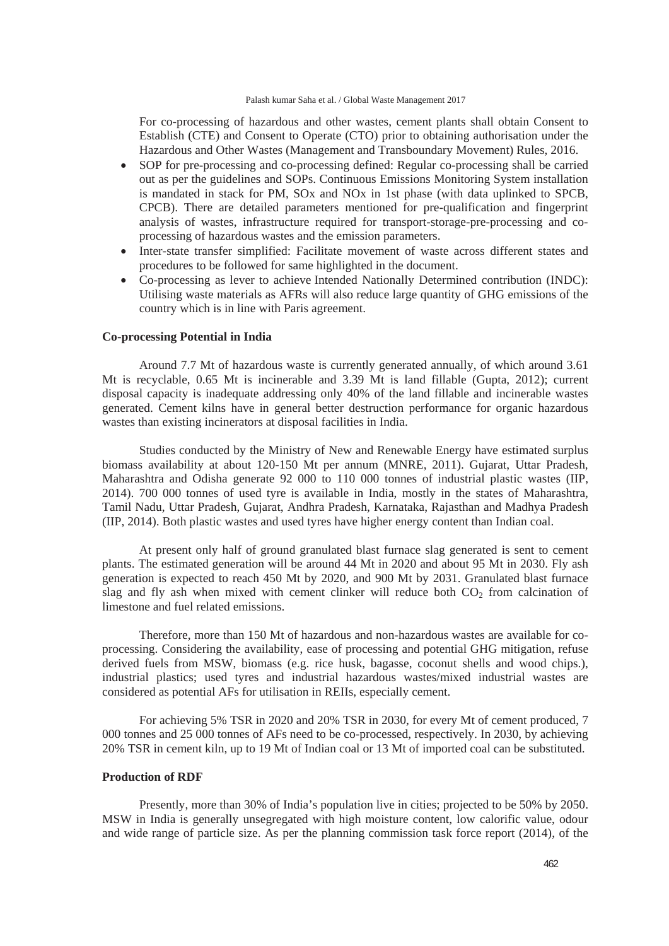For co-processing of hazardous and other wastes, cement plants shall obtain Consent to Establish (CTE) and Consent to Operate (CTO) prior to obtaining authorisation under the Hazardous and Other Wastes (Management and Transboundary Movement) Rules, 2016.

- x SOP for pre-processing and co-processing defined: Regular co-processing shall be carried out as per the guidelines and SOPs. Continuous Emissions Monitoring System installation is mandated in stack for PM, SOx and NOx in 1st phase (with data uplinked to SPCB, CPCB). There are detailed parameters mentioned for pre-qualification and fingerprint analysis of wastes, infrastructure required for transport-storage-pre-processing and coprocessing of hazardous wastes and the emission parameters.
- Inter-state transfer simplified: Facilitate movement of waste across different states and procedures to be followed for same highlighted in the document.
- Co-processing as lever to achieve Intended Nationally Determined contribution (INDC): Utilising waste materials as AFRs will also reduce large quantity of GHG emissions of the country which is in line with Paris agreement.

#### **Co-processing Potential in India**

 Around 7.7 Mt of hazardous waste is currently generated annually, of which around 3.61 Mt is recyclable, 0.65 Mt is incinerable and 3.39 Mt is land fillable (Gupta, 2012); current disposal capacity is inadequate addressing only 40% of the land fillable and incinerable wastes generated. Cement kilns have in general better destruction performance for organic hazardous wastes than existing incinerators at disposal facilities in India.

 Studies conducted by the Ministry of New and Renewable Energy have estimated surplus biomass availability at about 120-150 Mt per annum (MNRE, 2011). Gujarat, Uttar Pradesh, Maharashtra and Odisha generate 92 000 to 110 000 tonnes of industrial plastic wastes (IIP, 2014). 700 000 tonnes of used tyre is available in India, mostly in the states of Maharashtra, Tamil Nadu, Uttar Pradesh, Gujarat, Andhra Pradesh, Karnataka, Rajasthan and Madhya Pradesh (IIP, 2014). Both plastic wastes and used tyres have higher energy content than Indian coal.

 At present only half of ground granulated blast furnace slag generated is sent to cement plants. The estimated generation will be around 44 Mt in 2020 and about 95 Mt in 2030. Fly ash generation is expected to reach 450 Mt by 2020, and 900 Mt by 2031. Granulated blast furnace slag and fly ash when mixed with cement clinker will reduce both  $CO<sub>2</sub>$  from calcination of limestone and fuel related emissions.

 Therefore, more than 150 Mt of hazardous and non-hazardous wastes are available for coprocessing. Considering the availability, ease of processing and potential GHG mitigation, refuse derived fuels from MSW, biomass (e.g. rice husk, bagasse, coconut shells and wood chips.), industrial plastics; used tyres and industrial hazardous wastes/mixed industrial wastes are considered as potential AFs for utilisation in REIIs, especially cement.

 For achieving 5% TSR in 2020 and 20% TSR in 2030, for every Mt of cement produced, 7 000 tonnes and 25 000 tonnes of AFs need to be co-processed, respectively. In 2030, by achieving 20% TSR in cement kiln, up to 19 Mt of Indian coal or 13 Mt of imported coal can be substituted.

#### **Production of RDF**

 Presently, more than 30% of India's population live in cities; projected to be 50% by 2050. MSW in India is generally unsegregated with high moisture content, low calorific value, odour and wide range of particle size. As per the planning commission task force report (2014), of the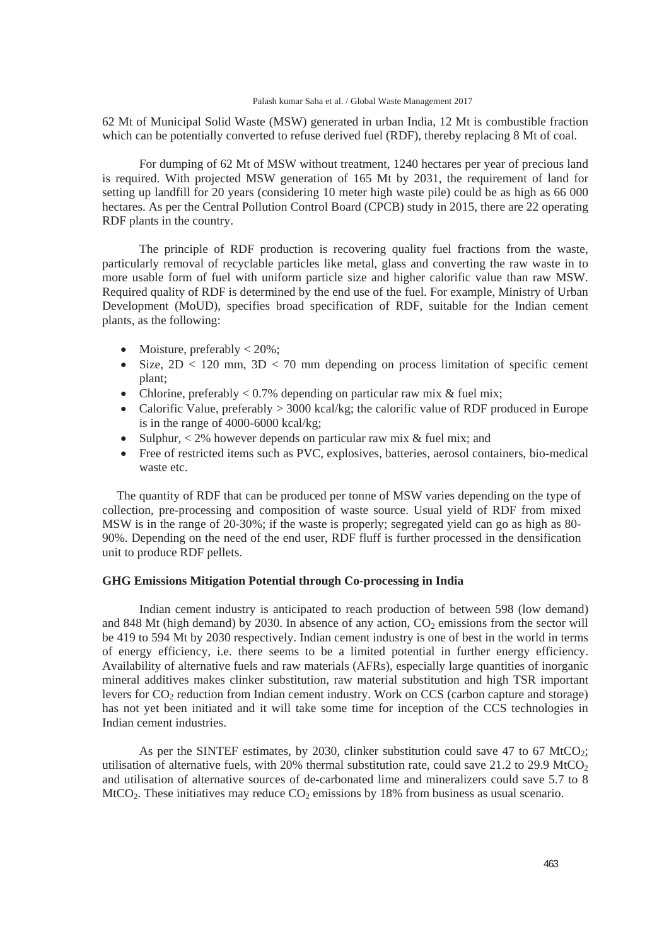#### Palash kumar Saha et al. / Global Waste Management 2017

62 Mt of Municipal Solid Waste (MSW) generated in urban India, 12 Mt is combustible fraction which can be potentially converted to refuse derived fuel (RDF), thereby replacing 8 Mt of coal.

 For dumping of 62 Mt of MSW without treatment, 1240 hectares per year of precious land is required. With projected MSW generation of 165 Mt by 2031, the requirement of land for setting up landfill for 20 years (considering 10 meter high waste pile) could be as high as 66 000 hectares. As per the Central Pollution Control Board (CPCB) study in 2015, there are 22 operating RDF plants in the country.

 The principle of RDF production is recovering quality fuel fractions from the waste, particularly removal of recyclable particles like metal, glass and converting the raw waste in to more usable form of fuel with uniform particle size and higher calorific value than raw MSW. Required quality of RDF is determined by the end use of the fuel. For example, Ministry of Urban Development (MoUD), specifies broad specification of RDF, suitable for the Indian cement plants, as the following:

- Moisture, preferably  $< 20\%$ ;
- Size,  $2D < 120$  mm,  $3D < 70$  mm depending on process limitation of specific cement plant;
- Chlorine, preferably  $\lt 0.7\%$  depending on particular raw mix & fuel mix;
- Calorific Value, preferably  $> 3000$  kcal/kg; the calorific value of RDF produced in Europe is in the range of 4000-6000 kcal/kg;
- Sulphur,  $\langle 2\%$  however depends on particular raw mix & fuel mix; and
- Free of restricted items such as PVC, explosives, batteries, aerosol containers, bio-medical waste etc.

 The quantity of RDF that can be produced per tonne of MSW varies depending on the type of collection, pre-processing and composition of waste source. Usual yield of RDF from mixed MSW is in the range of 20-30%; if the waste is properly; segregated yield can go as high as 80- 90%. Depending on the need of the end user, RDF fluff is further processed in the densification unit to produce RDF pellets.

## **GHG Emissions Mitigation Potential through Co-processing in India**

 Indian cement industry is anticipated to reach production of between 598 (low demand) and 848 Mt (high demand) by 2030. In absence of any action,  $CO<sub>2</sub>$  emissions from the sector will be 419 to 594 Mt by 2030 respectively. Indian cement industry is one of best in the world in terms of energy efficiency, i.e. there seems to be a limited potential in further energy efficiency. Availability of alternative fuels and raw materials (AFRs), especially large quantities of inorganic mineral additives makes clinker substitution, raw material substitution and high TSR important levers for  $CO<sub>2</sub>$  reduction from Indian cement industry. Work on CCS (carbon capture and storage) has not yet been initiated and it will take some time for inception of the CCS technologies in Indian cement industries.

As per the SINTEF estimates, by 2030, clinker substitution could save  $47$  to  $67$  MtCO<sub>2</sub>; utilisation of alternative fuels, with 20% thermal substitution rate, could save 21.2 to 29.9 MtCO<sub>2</sub> and utilisation of alternative sources of de-carbonated lime and mineralizers could save 5.7 to 8 MtCO<sub>2</sub>. These initiatives may reduce  $CO<sub>2</sub>$  emissions by 18% from business as usual scenario.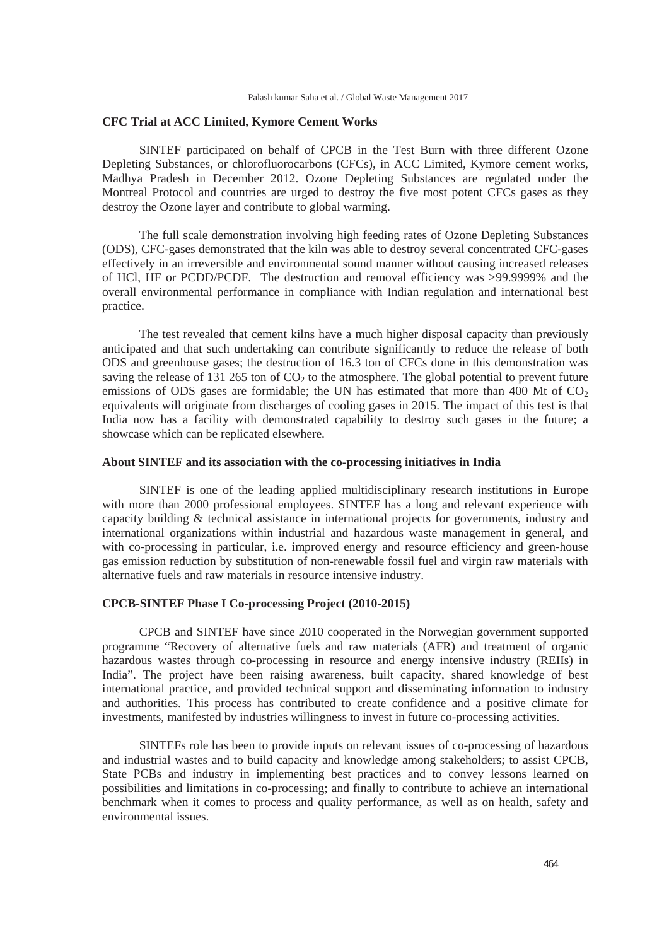## **CFC Trial at ACC Limited, Kymore Cement Works**

 SINTEF participated on behalf of CPCB in the Test Burn with three different Ozone Depleting Substances, or chlorofluorocarbons (CFCs), in ACC Limited, Kymore cement works, Madhya Pradesh in December 2012. Ozone Depleting Substances are regulated under the Montreal Protocol and countries are urged to destroy the five most potent CFCs gases as they destroy the Ozone layer and contribute to global warming.

 The full scale demonstration involving high feeding rates of Ozone Depleting Substances (ODS), CFC-gases demonstrated that the kiln was able to destroy several concentrated CFC-gases effectively in an irreversible and environmental sound manner without causing increased releases of HCl, HF or PCDD/PCDF. The destruction and removal efficiency was >99.9999% and the overall environmental performance in compliance with Indian regulation and international best practice.

 The test revealed that cement kilns have a much higher disposal capacity than previously anticipated and that such undertaking can contribute significantly to reduce the release of both ODS and greenhouse gases; the destruction of 16.3 ton of CFCs done in this demonstration was saving the release of 131 265 ton of  $CO<sub>2</sub>$  to the atmosphere. The global potential to prevent future emissions of ODS gases are formidable; the UN has estimated that more than 400 Mt of  $CO<sub>2</sub>$ equivalents will originate from discharges of cooling gases in 2015. The impact of this test is that India now has a facility with demonstrated capability to destroy such gases in the future; a showcase which can be replicated elsewhere.

## **About SINTEF and its association with the co-processing initiatives in India**

 SINTEF is one of the leading applied multidisciplinary research institutions in Europe with more than 2000 professional employees. SINTEF has a long and relevant experience with capacity building & technical assistance in international projects for governments, industry and international organizations within industrial and hazardous waste management in general, and with co-processing in particular, i.e. improved energy and resource efficiency and green-house gas emission reduction by substitution of non-renewable fossil fuel and virgin raw materials with alternative fuels and raw materials in resource intensive industry.

## **CPCB-SINTEF Phase I Co-processing Project (2010-2015)**

 CPCB and SINTEF have since 2010 cooperated in the Norwegian government supported programme "Recovery of alternative fuels and raw materials (AFR) and treatment of organic hazardous wastes through co-processing in resource and energy intensive industry (REIIs) in India". The project have been raising awareness, built capacity, shared knowledge of best international practice, and provided technical support and disseminating information to industry and authorities. This process has contributed to create confidence and a positive climate for investments, manifested by industries willingness to invest in future co-processing activities.

 SINTEFs role has been to provide inputs on relevant issues of co-processing of hazardous and industrial wastes and to build capacity and knowledge among stakeholders; to assist CPCB, State PCBs and industry in implementing best practices and to convey lessons learned on possibilities and limitations in co-processing; and finally to contribute to achieve an international benchmark when it comes to process and quality performance, as well as on health, safety and environmental issues.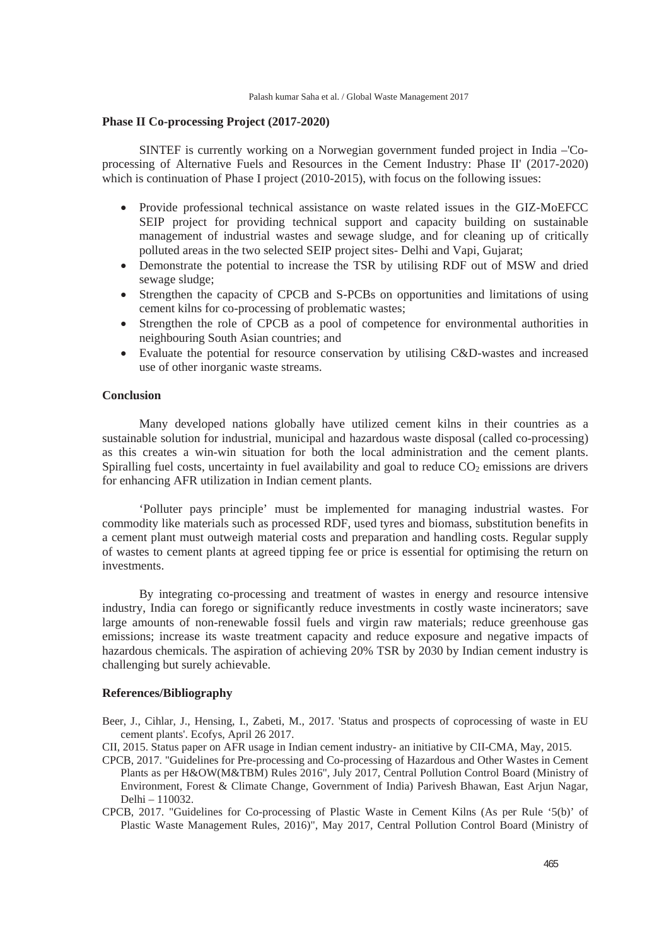## **Phase II Co-processing Project (2017-2020)**

 SINTEF is currently working on a Norwegian government funded project in India –'Coprocessing of Alternative Fuels and Resources in the Cement Industry: Phase II' (2017-2020) which is continuation of Phase I project (2010-2015), with focus on the following issues:

- Provide professional technical assistance on waste related issues in the GIZ-MoEFCC SEIP project for providing technical support and capacity building on sustainable management of industrial wastes and sewage sludge, and for cleaning up of critically polluted areas in the two selected SEIP project sites- Delhi and Vapi, Gujarat;
- Demonstrate the potential to increase the TSR by utilising RDF out of MSW and dried sewage sludge;
- Strengthen the capacity of CPCB and S-PCBs on opportunities and limitations of using cement kilns for co-processing of problematic wastes;
- Strengthen the role of CPCB as a pool of competence for environmental authorities in neighbouring South Asian countries; and
- Evaluate the potential for resource conservation by utilising C&D-wastes and increased use of other inorganic waste streams.

## **Conclusion**

 Many developed nations globally have utilized cement kilns in their countries as a sustainable solution for industrial, municipal and hazardous waste disposal (called co-processing) as this creates a win-win situation for both the local administration and the cement plants. Spiralling fuel costs, uncertainty in fuel availability and goal to reduce  $CO<sub>2</sub>$  emissions are drivers for enhancing AFR utilization in Indian cement plants.

 'Polluter pays principle' must be implemented for managing industrial wastes. For commodity like materials such as processed RDF, used tyres and biomass, substitution benefits in a cement plant must outweigh material costs and preparation and handling costs. Regular supply of wastes to cement plants at agreed tipping fee or price is essential for optimising the return on investments.

 By integrating co-processing and treatment of wastes in energy and resource intensive industry, India can forego or significantly reduce investments in costly waste incinerators; save large amounts of non-renewable fossil fuels and virgin raw materials; reduce greenhouse gas emissions; increase its waste treatment capacity and reduce exposure and negative impacts of hazardous chemicals. The aspiration of achieving 20% TSR by 2030 by Indian cement industry is challenging but surely achievable.

## **References/Bibliography**

- Beer, J., Cihlar, J., Hensing, I., Zabeti, M., 2017. 'Status and prospects of coprocessing of waste in EU cement plants'. Ecofys, April 26 2017.
- CII, 2015. Status paper on AFR usage in Indian cement industry- an initiative by CII-CMA, May, 2015.
- CPCB, 2017. "Guidelines for Pre-processing and Co-processing of Hazardous and Other Wastes in Cement Plants as per H&OW(M&TBM) Rules 2016", July 2017, Central Pollution Control Board (Ministry of Environment, Forest & Climate Change, Government of India) Parivesh Bhawan, East Arjun Nagar, Delhi – 110032.
- CPCB, 2017. "Guidelines for Co-processing of Plastic Waste in Cement Kilns (As per Rule '5(b)' of Plastic Waste Management Rules, 2016)", May 2017, Central Pollution Control Board (Ministry of